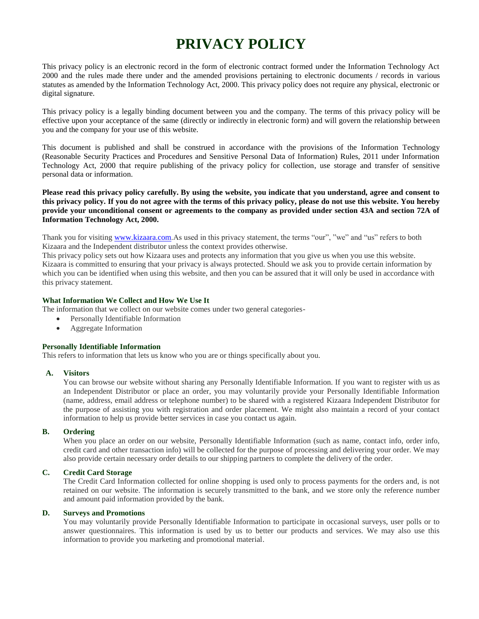# **PRIVACY POLICY**

This privacy policy is an electronic record in the form of electronic contract formed under the Information Technology Act 2000 and the rules made there under and the amended provisions pertaining to electronic documents / records in various statutes as amended by the Information Technology Act, 2000. This privacy policy does not require any physical, electronic or digital signature.

This privacy policy is a legally binding document between you and the company. The terms of this privacy policy will be effective upon your acceptance of the same (directly or indirectly in electronic form) and will govern the relationship between you and the company for your use of this website.

This document is published and shall be construed in accordance with the provisions of the Information Technology (Reasonable Security Practices and Procedures and Sensitive Personal Data of Information) Rules, 2011 under Information Technology Act, 2000 that require publishing of the privacy policy for collection, use storage and transfer of sensitive personal data or information.

**Please read this privacy policy carefully. By using the website, you indicate that you understand, agree and consent to this privacy policy. If you do not agree with the terms of this privacy policy, please do not use this website. You hereby provide your unconditional consent or agreements to the company as provided under section 43A and section 72A of Information Technology Act, 2000.**

Thank you for visiting [www.kizaara.com.](http://www.kizaara.com/)As used in this privacy statement, the terms "our", "we" and "us" refers to both Kizaara and the Independent distributor unless the context provides otherwise.

This privacy policy sets out how Kizaara uses and protects any information that you give us when you use this website. Kizaara is committed to ensuring that your privacy is always protected. Should we ask you to provide certain information by which you can be identified when using this website, and then you can be assured that it will only be used in accordance with this privacy statement.

### **What Information We Collect and How We Use It**

The information that we collect on our website comes under two general categories-

- Personally Identifiable Information
- Aggregate Information

### **Personally Identifiable Information**

This refers to information that lets us know who you are or things specifically about you.

### **A. Visitors**

You can browse our website without sharing any Personally Identifiable Information. If you want to register with us as an Independent Distributor or place an order, you may voluntarily provide your Personally Identifiable Information (name, address, email address or telephone number) to be shared with a registered Kizaara Independent Distributor for the purpose of assisting you with registration and order placement. We might also maintain a record of your contact information to help us provide better services in case you contact us again.

### **B. Ordering**

When you place an order on our website, Personally Identifiable Information (such as name, contact info, order info, credit card and other transaction info) will be collected for the purpose of processing and delivering your order. We may also provide certain necessary order details to our shipping partners to complete the delivery of the order.

### **C. Credit Card Storage**

The Credit Card Information collected for online shopping is used only to process payments for the orders and, is not retained on our website. The information is securely transmitted to the bank, and we store only the reference number and amount paid information provided by the bank.

### **D. Surveys and Promotions**

You may voluntarily provide Personally Identifiable Information to participate in occasional surveys, user polls or to answer questionnaires. This information is used by us to better our products and services. We may also use this information to provide you marketing and promotional material.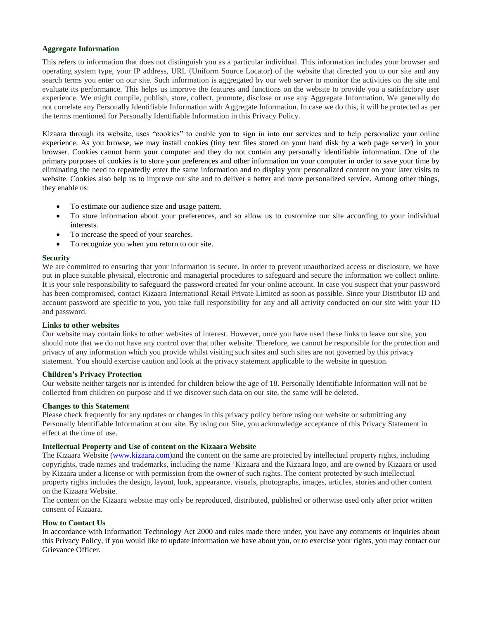### **Aggregate Information**

This refers to information that does not distinguish you as a particular individual. This information includes your browser and operating system type, your IP address, URL (Uniform Source Locator) of the website that directed you to our site and any search terms you enter on our site. Such information is aggregated by our web server to monitor the activities on the site and evaluate its performance. This helps us improve the features and functions on the website to provide you a satisfactory user experience. We might compile, publish, store, collect, promote, disclose or use any Aggregate Information. We generally do not correlate any Personally Identifiable Information with Aggregate Information. In case we do this, it will be protected as per the terms mentioned for Personally Identifiable Information in this Privacy Policy.

Kizaara through its website, uses "cookies" to enable you to sign in into our services and to help personalize your online experience. As you browse, we may install cookies (tiny text files stored on your hard disk by a web page server) in your browser. Cookies cannot harm your computer and they do not contain any personally identifiable information. One of the primary purposes of cookies is to store your preferences and other information on your computer in order to save your time by eliminating the need to repeatedly enter the same information and to display your personalized content on your later visits to website. Cookies also help us to improve our site and to deliver a better and more personalized service. Among other things, they enable us:

- To estimate our audience size and usage pattern.
- To store information about your preferences, and so allow us to customize our site according to your individual interests.
- To increase the speed of your searches.
- To recognize you when you return to our site.

### **Security**

We are committed to ensuring that your information is secure. In order to prevent unauthorized access or disclosure, we have put in place suitable physical, electronic and managerial procedures to safeguard and secure the information we collect online. It is your sole responsibility to safeguard the password created for your online account. In case you suspect that your password has been compromised, contact Kizaara International Retail Private Limited as soon as possible. Since your Distributor ID and account password are specific to you, you take full responsibility for any and all activity conducted on our site with your ID and password.

### **Links to other websites**

Our website may contain links to other websites of interest. However, once you have used these links to leave our site, you should note that we do not have any control over that other website. Therefore, we cannot be responsible for the protection and privacy of any information which you provide whilst visiting such sites and such sites are not governed by this privacy statement. You should exercise caution and look at the privacy statement applicable to the website in question.

### **Children's Privacy Protection**

Our website neither targets nor is intended for children below the age of 18. Personally Identifiable Information will not be collected from children on purpose and if we discover such data on our site, the same will be deleted.

### **Changes to this Statement**

Please check frequently for any updates or changes in this privacy policy before using our website or submitting any Personally Identifiable Information at our site. By using our Site, you acknowledge acceptance of this Privacy Statement in effect at the time of use.

### **Intellectual Property and Use of content on the Kizaara Website**

The Kizaara Website [\(www.kizaara.com\)](http://www.kizaara.com/)and the content on the same are protected by intellectual property rights, including copyrights, trade names and trademarks, including the name "Kizaara and the Kizaara logo, and are owned by Kizaara or used by Kizaara under a license or with permission from the owner of such rights. The content protected by such intellectual property rights includes the design, layout, look, appearance, visuals, photographs, images, articles, stories and other content on the Kizaara Website.

The content on the Kizaara website may only be reproduced, distributed, published or otherwise used only after prior written consent of Kizaara.

### **How to Contact Us**

In accordance with Information Technology Act 2000 and rules made there under, you have any comments or inquiries about this Privacy Policy, if you would like to update information we have about you, or to exercise your rights, you may contact our Grievance Officer.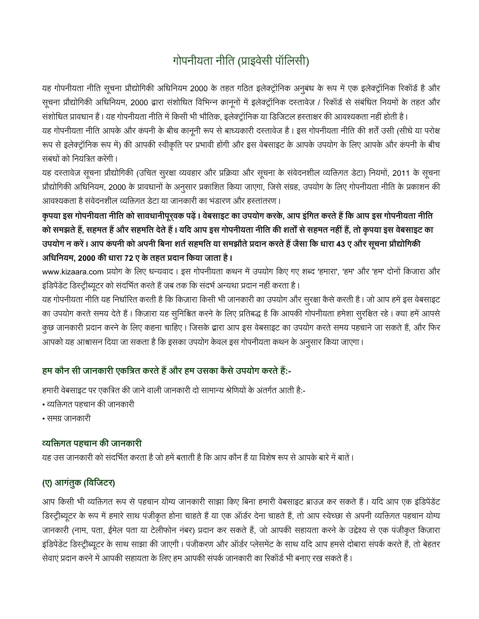# गोपनीयता नीति (प्राइवेसी पॉलिसी)

यह गोपनीयता नीति सूचना प्रौद्योगिकी अधिनियम 2000 के तहत गठित इलेक्ट्रॉनिक अनुबंध के रूप में एक इलेक्ट्रॉनिक रिकॉर्ड है और सूचना प्रौद्योगिकी अधिनियम, 2000 द्वारा संशोधित विभिन्न क़ानूनों में इलेक्ट्रॉनिक दस्तावेज़ / रिकॉर्ड से संबंधित नियमों के तहत और संशोधित प्रावधान हैं। यह गोपनीयता नीति में किसी भी भौतिक, इलेक्ट्रॉनिक या डिजिटल हस्ताक्षर की आवश्यकता नहीं होती है।

यह गोपनीयता नीति आपके और कंपनी के बीच कानूनी रूप से बाध्यकारी दस्तावेज है। इस गोपनीयता नीति की शर्तें उसी (सीधे या परोक्ष रूप से इलेक्ट्रॉनिक रूप में) की आपकी स्वीकृति पर प्रभावी होंगी और इस वेबसाइट के आपके उपयोग के लिए आपके और कंपनी के बीच संबंधों को नियंत्रित करेंगी।

यह दस्तावेज़ सूचना प्रौद्योगिकी (उचित सुरक्षा व्यवहार और प्रक्रिया और सूचना के संवेदनशील व्यक्तिगत डेटा) नियमों, 2011 के सूचना प्रौद्योगिकी अधिनियम, 2000 के प्रावधानों के अनुसार प्रकाशित किया जाएगा, जिसे संग्रह, उपयोग के लिए गोपनीयता नीति के प्रकाशन की आवश्यकता है संवेदनशील व्यक्तिगत डेटा या जानकारी का भंडारण और हस्तांतरण ।

कृपया इस गोपनीयता नीति को सावधानीपूरवक पढ़ें। वेबसाइट का उपयोग करके, आप इंगित करते हैं कि आप इस गोपनीयता नीति को समझते हैं, सहमत हैं और सहमति देते हैं। यदि आप इस गोपनीयता नीति की शर्तों से सहमत नहीं हैं, तो कृपया इस वेबसाइट का उपयोग न करें। आप कंपनी को अपनी बिना शर्त सहमति या समझौते प्रदान करते हैं जैसा कि धारा 43 ए और सूचना प्रौद्योगिकी  **, 2000 72 ए ।**

www.kizaara.com प्रयोग के लिए धन्यवाद। इस गोपनीयता कथन में उपयोग किए गए शब्द 'हमारा', 'हम' और 'हम' दोनों किजारा और इंडिपेंडेंट डिस्ट्रीब्यूटर को संदर्भित करते हैं जब तक कि संदर्भ अन्यथा प्रदान नहीं करता है।

यह गोपनीयता नीति यह निर्धारित करती है कि किज़ारा किसी भी जानकारी का उपयोग और सुरक्षा कैसे करती है। जो आप हमें इस वेबसाइट का उपयोग करते समय देते हैं। किज़ारा यह सुनिश्चित करने के लिए प्रतिबद्ध है कि आपकी गोपनीयता हमेशा सुरक्षित रहे। क्या हमें आपसे कुछ जानकारी प्रदान करने के लिए कहना चाहिए। जिसके द्वारा आप इस वेबसाइट का उपयोग करते समय पहचाने जा सकते हैं, और फिर आपको यह आश्वासन दिया जा सकता है कि इसका उपयोग केवल इस गोपनीयता कथन के अनुसार किया जाएगा।

# हम कौन सी जानकारी एकत्रित करते हैं और हम उसका कैसे उपयोग करते हैं:-

हमारी वेबसाइट पर एकत्रित की जाने वाली जानकारी दो सामान्य श्रेणियों के अंतर्गत आती है:-

- व्यक्तिगत पहचान की जानकारी
- समग्र जानकारी

# 

यह उस जानकारी को संदर्भित करता है जो हमें बताती है कि आप कौन हैं या विशेष रूप से आपके बारे में बातें ।

# **(ए) आ ( )**

आप किसी भी व्यक्तिगत रूप से पहचान योग्य जानकारी साझा किए बिना हमारी वेबसाइट ब्राउज़ कर सकते हैं। यदि आप एक इंडिपेंडेंट डिस्ट्रीब्यूटर के रूप में हमारे साथ पंजीकृत होना चाहते हैं या एक ऑर्डर देना चाहते हैं, तो आप स्वेच्छा से अपनी व्यक्तिगत पहचान योग्य जानकारी (नाम, पता, ईमेल पता या टेलीफोन नंबर) प्रदान कर सकते हैं, जो आपकी सहायता करने के उद्देश्य से एक पंजीकृत किज़ारा इंडिपेंडेंट डिस्ट्रीब्यूटर के साथ साझा की जाएगी। पंजीकरण और ऑर्डर प्लेसमेंट के साथ यदि आप हमसे दोबारा संपर्क करते हैं, तो बेहतर सेवाएं प्रदान करने में आपकी सहायता के लिए हम आपकी संपर्क जानकारी का रिकॉर्ड भी बनाए रख सकते हैं ।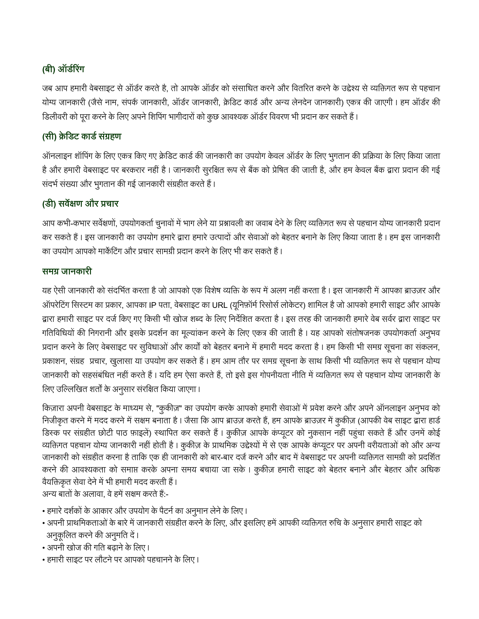# **( )**

जब आप हमारी वेबसाइट से ऑर्डर करते है, तो आपके ऑर्डर को संसाधित करने और वितरित करने के उद्देश्य से व्यक्तिगत रूप से पहचान योग्य जानकारी (जैसे नाम, संपर्क जानकारी, ऑर्डर जानकारी, क्रेडिट कार्ड और अन्य लेनदेन जानकारी) एकत्र की जाएगी। हम ऑर्डर की डिलीवरी को पूरा करने के लिए अपने शिपिंग भागीदारों को कुछ आवश्यक ऑर्डर विवरण भी प्रदान कर सकते हैं।

## (सी) क्रेडिट कार्ड संग्रहण

ऑनलाइन शॉपिंग के लिए एकत्र किए गए क्रेडिट कार्ड की जानकारी का उपयोग केवल ऑर्डर के लिए भुगतान की प्रक्रिया के लिए किया जाता है और हमारी वेबसाइट पर बरकरार नहीं है। जानकारी सुरक्षित रूप से बैंक को प्रेषित की जाती है, और हम केवल बैंक द्वारा प्रदान की गई संदर्भ संख्या और भुगतान की गई जानकारी संग्रहीत करते हैं।

# **( ) स औ**

आप कभी-कभार सर्वेक्षणों, उपयोगकर्ता चुनावों में भाग लेने या प्रश्नावली का जवाब देने के लिए व्यक्तिगत रूप से पहचान योग्य जानकारी प्रदान कर सकते हैं। इस जानकारी का उपयोग हमारे द्वारा हमारे उत्पादों और सेवाओं को बेहतर बनाने के लिए किया जाता है। हम इस जानकारी का उपयोग आपको मार्केटिंग और प्रचार सामग्री प्रदान करने के लिए भी कर सकते हैं।

### समग्र जानकारी

यह ऐसी जानकारी को संदर्भित करता है जो आपको एक विशेष व्यक्ति के रूप में अलग नहीं करता है। इस जानकारी में आपका ब्राउज़र और ऑपरेटिंग सिस्टम का प्रकार, आपका IP पता, वेबसाइट का URL (यूनिफ़ॉर्म रिसोर्स लोकेटर) शामिल है जो आपको हमारी साइट और आपके द्वारा हमारी साइट पर दर्ज किए गए किसी भी खोज शब्द के लिए निर्देशित करता है। इस तरह की जानकारी हमारे वेब सर्वर द्वारा साइट पर गतिविधियों की निगरानी और इसके प्रदर्शन का मूल्यांकन करने के लिए एकत्र की जाती है। यह आपको संतोषजनक उपयोगकर्ता अनुभव प्रदान करने के लिए वेबसाइट पर सुविधाओं और कार्यों को बेहतर बनाने में हमारी मदद करता है। हम किसी भी समग्र सूचना का संकलन, प्रकाशन, संग्रह प्रचार, खुलासा या उपयोग कर सकते हैं। हम आम तौर पर समग्र सूचना के साथ किसी भी व्यक्तिगत रूप से पहचान योग्य जानकारी को सहसंबंधित नहीं करते हैं। यदि हम ऐसा करते हैं, तो इसे इस गोपनीयता नीति में व्यक्तिगत रूप से पहचान योग्य जानकारी के लिए उल्लिखित शर्तों के अनुसार संरक्षित किया जाएगा।

किज़ारा अपनी वेबसाइट के माध्यम से, "कुकीज़" का उपयोग करके आपको हमारी सेवाओं में प्रवेश करने और अपने ऑनलाइन अनुभव को निजीकृत करने में मदद करने में सक्षम बनाता है। जैसा कि आप ब्राउज़ करते हैं, हम आपके ब्राउज़र में कुकीज़ (आपकी वेब साइट द्वारा हार्ड डिस्क पर संग्रहीत छोटी पाठ फ़ाइलें) स्थापित कर सकते हैं। कुकीज़ आपके कंप्यूटर को नुकसान नहीं पहुंचा सकते हैं और उनमें कोई व्यक्तिगत पहचान योग्य जानकारी नहीं होती है। कुकीज़ के प्राथमिक उद्देश्यों में से एक आपके कंप्यूटर पर अपनी वरीयताओं को और अन्य जानकारी को संग्रहीत करना है ताकि एक ही जानकारी को बार-बार दर्ज करने और बाद में वेबसाइट पर अपनी व्यक्तिगत सामग्री को प्रदर्शित करने की आवश्यकता को समाप्त करके अपना समय बचाया जा सके। कुकीज़ हमारी साइट को बेहतर बनाने और बेहतर और अधिक वैयक्तिकृत सेवा देने में भी हमारी मदद करती हैं।

अन्य बातों के अलावा. वे हमें सक्षम करते हैं:-

- हमारे दर्शकों के आकार और उपयोग के पैटर्न का अनुमान लेने के लिए।
- अपनी प्राथमिकताओं के बारे में जानकारी संग्रहीत करने के लिए, और इसलिए हमें आपकी व्यक्तिगत रुचि के अनुसार हमारी साइट को अनुकूलित करने की अनुमति दें ।
- अपनी खोज की गति बढ़ाने के लिए।
- हमारी साइट पर लौटने पर आपको पहचानने के लिए।